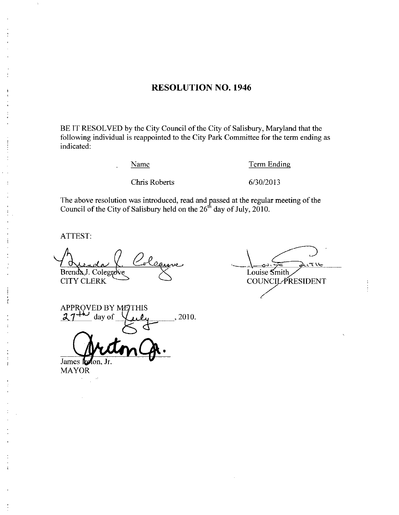## RESOLUTION NO. 1946

BE IT RESOLVED by the City Council of the City of Salisbury, Maryland that the following individual is reappointed to the City Park Committee for the term ending as indicated Example 10 the City Park Committee for the<br>
<u>Name</u><br>
Chris Roberts 6/30/2013

Name Term Ending

The above resolution was introduced, read and passed at the regular meeting of the Council of the City of Solichum hold on the  $26<sup>th</sup>$  day of July 2010 Council of the City of Salisbury held on the  $26<sup>th</sup>$  day of July, 2010.

ATTEST

Brenda J. Colegrove CITY CLERK

مکدرس ارے Louise Smith **COUNCIL PRESIDENT** 

APPROVED BY METHIS 27 day of  $\bigvee_{i \in \mathcal{L}} \mathcal{L}_{i}$ , 2010.

James l**re** MAYOR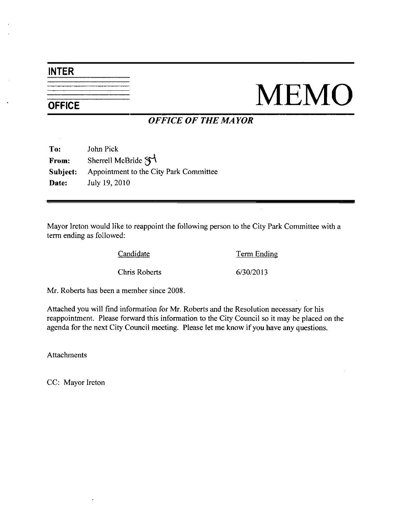## INTER

## NEMO

## OFFICE OF THE MAYOR

| To:      | John Pick                                 |
|----------|-------------------------------------------|
| From:    | Sherrell McBride $\mathfrak{F}^{\dagger}$ |
| Subject: | Appointment to the City Park Committee    |
| Date:    | July 19, 2010                             |

Mayor Ireton would like to reappoint the following person to the City Pazk Committee with a term ending as followed Exercise to reappoint the following person to the City 1<br>Candidate<br>Chris Roberts 6/30/2013

Candidate Term Ending

Mr. Roberts has been a member since 2008.

Attached you will find information for Mr Roberts and the Resolution necessary for his reappointment. Please forward this information to the City Council so it may be placed on the agenda for the next City Council meeting. Please let me know if you have any questions.

Attachments

CC: Mayor Ireton